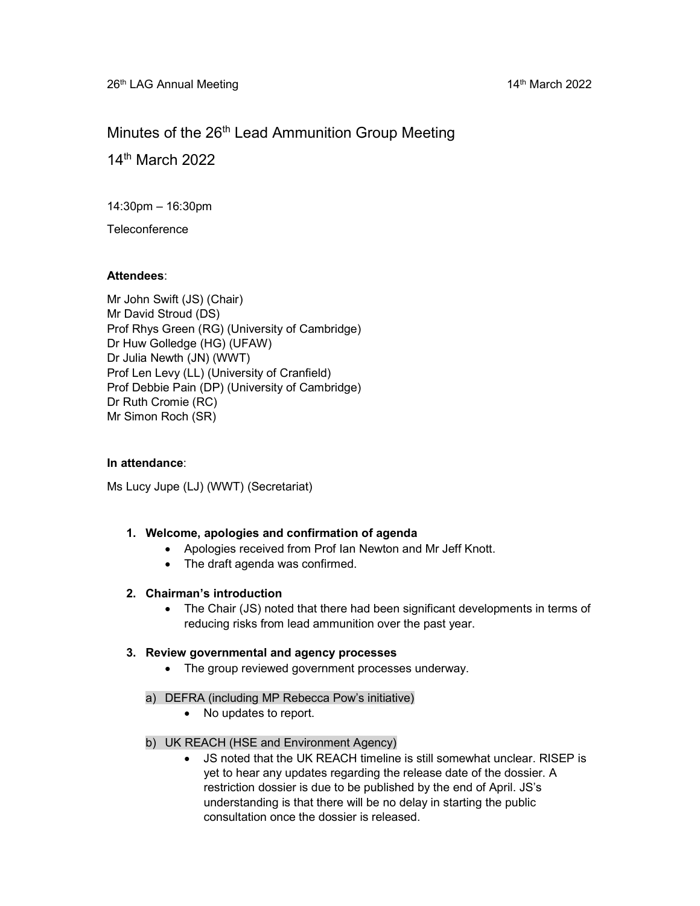# Minutes of the 26<sup>th</sup> Lead Ammunition Group Meeting

14th March 2022

14:30pm – 16:30pm

**Teleconference** 

# Attendees:

Mr John Swift (JS) (Chair) Mr David Stroud (DS) Prof Rhys Green (RG) (University of Cambridge) Dr Huw Golledge (HG) (UFAW) Dr Julia Newth (JN) (WWT) Prof Len Levy (LL) (University of Cranfield) Prof Debbie Pain (DP) (University of Cambridge) Dr Ruth Cromie (RC) Mr Simon Roch (SR)

# In attendance:

Ms Lucy Jupe (LJ) (WWT) (Secretariat)

# 1. Welcome, apologies and confirmation of agenda

- Apologies received from Prof Ian Newton and Mr Jeff Knott.
- The draft agenda was confirmed.

# 2. Chairman's introduction

 The Chair (JS) noted that there had been significant developments in terms of reducing risks from lead ammunition over the past year.

# 3. Review governmental and agency processes

- The group reviewed government processes underway.
- a) DEFRA (including MP Rebecca Pow's initiative)
	- No updates to report.
- b) UK REACH (HSE and Environment Agency)
	- JS noted that the UK REACH timeline is still somewhat unclear. RISEP is yet to hear any updates regarding the release date of the dossier. A restriction dossier is due to be published by the end of April. JS's understanding is that there will be no delay in starting the public consultation once the dossier is released.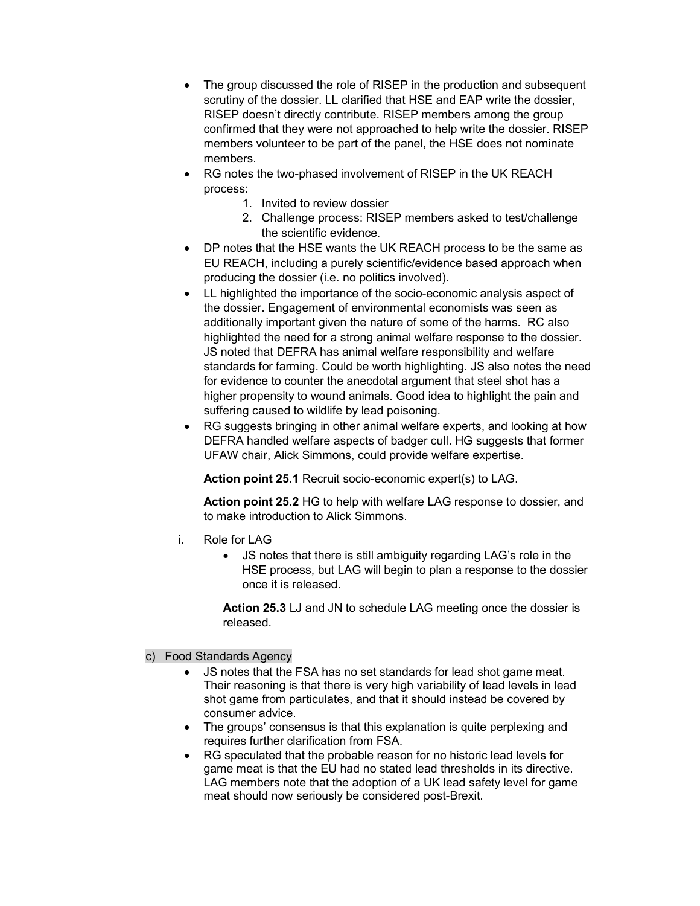- The group discussed the role of RISEP in the production and subsequent scrutiny of the dossier. LL clarified that HSE and EAP write the dossier, RISEP doesn't directly contribute. RISEP members among the group confirmed that they were not approached to help write the dossier. RISEP members volunteer to be part of the panel, the HSE does not nominate members.
- RG notes the two-phased involvement of RISEP in the UK REACH process:
	- 1. Invited to review dossier
	- 2. Challenge process: RISEP members asked to test/challenge the scientific evidence.
- DP notes that the HSE wants the UK REACH process to be the same as EU REACH, including a purely scientific/evidence based approach when producing the dossier (i.e. no politics involved).
- LL highlighted the importance of the socio-economic analysis aspect of the dossier. Engagement of environmental economists was seen as additionally important given the nature of some of the harms. RC also highlighted the need for a strong animal welfare response to the dossier. JS noted that DEFRA has animal welfare responsibility and welfare standards for farming. Could be worth highlighting. JS also notes the need for evidence to counter the anecdotal argument that steel shot has a higher propensity to wound animals. Good idea to highlight the pain and suffering caused to wildlife by lead poisoning.
- RG suggests bringing in other animal welfare experts, and looking at how DEFRA handled welfare aspects of badger cull. HG suggests that former UFAW chair, Alick Simmons, could provide welfare expertise.

Action point 25.1 Recruit socio-economic expert(s) to LAG.

Action point 25.2 HG to help with welfare LAG response to dossier, and to make introduction to Alick Simmons.

- i. Role for LAG
	- JS notes that there is still ambiguity regarding LAG's role in the HSE process, but LAG will begin to plan a response to the dossier once it is released.

Action 25.3 LJ and JN to schedule LAG meeting once the dossier is released.

# c) Food Standards Agency

- JS notes that the FSA has no set standards for lead shot game meat. Their reasoning is that there is very high variability of lead levels in lead shot game from particulates, and that it should instead be covered by consumer advice.
- The groups' consensus is that this explanation is quite perplexing and requires further clarification from FSA.
- RG speculated that the probable reason for no historic lead levels for game meat is that the EU had no stated lead thresholds in its directive. LAG members note that the adoption of a UK lead safety level for game meat should now seriously be considered post-Brexit.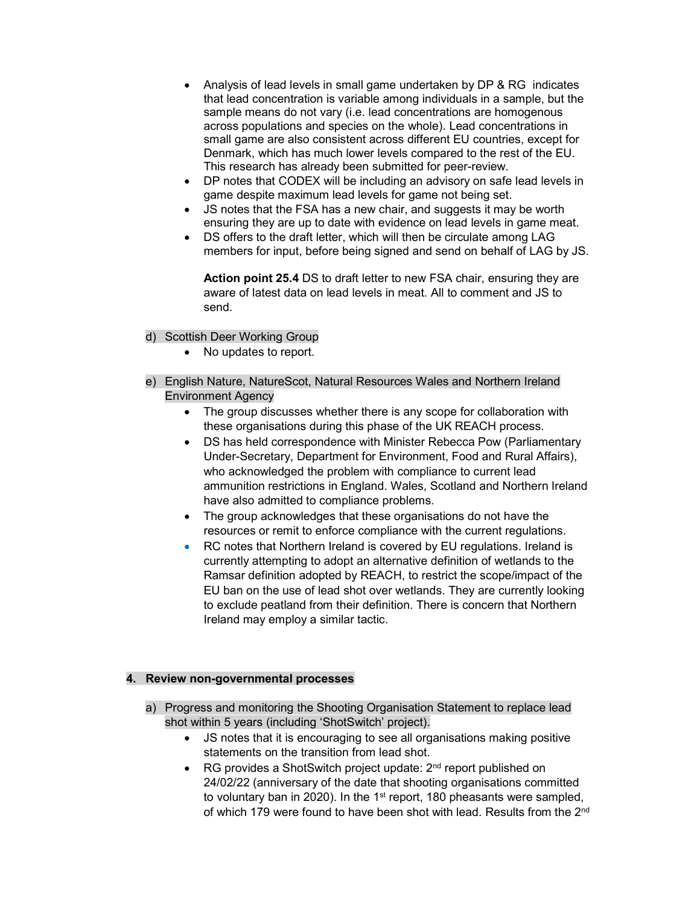- Analysis of lead levels in small game undertaken by DP & RG indicates that lead concentration is variable among individuals in a sample, but the sample means do not vary (i.e. lead concentrations are homogenous across populations and species on the whole). Lead concentrations in small game are also consistent across different EU countries, except for Denmark, which has much lower levels compared to the rest of the EU. This research has already been submitted for peer-review.
- DP notes that CODEX will be including an advisory on safe lead levels in game despite maximum lead levels for game not being set.
- JS notes that the FSA has a new chair, and suggests it may be worth ensuring they are up to date with evidence on lead levels in game meat.
- DS offers to the draft letter, which will then be circulate among LAG members for input, before being signed and send on behalf of LAG by JS.

Action point 25.4 DS to draft letter to new FSA chair, ensuring they are aware of latest data on lead levels in meat. All to comment and JS to send.

- d) Scottish Deer Working Group
	- No updates to report.
- e) English Nature, NatureScot, Natural Resources Wales and Northern Ireland Environment Agency
	- The group discusses whether there is any scope for collaboration with these organisations during this phase of the UK REACH process.
	- DS has held correspondence with Minister Rebecca Pow (Parliamentary Under-Secretary, Department for Environment, Food and Rural Affairs), who acknowledged the problem with compliance to current lead ammunition restrictions in England. Wales, Scotland and Northern Ireland have also admitted to compliance problems.
	- The group acknowledges that these organisations do not have the resources or remit to enforce compliance with the current regulations.
	- RC notes that Northern Ireland is covered by EU regulations. Ireland is currently attempting to adopt an alternative definition of wetlands to the Ramsar definition adopted by REACH, to restrict the scope/impact of the EU ban on the use of lead shot over wetlands. They are currently looking to exclude peatland from their definition. There is concern that Northern Ireland may employ a similar tactic.

#### 4. Review non-governmental processes

- a) Progress and monitoring the Shooting Organisation Statement to replace lead shot within 5 years (including 'ShotSwitch' project).
	- JS notes that it is encouraging to see all organisations making positive statements on the transition from lead shot.
	- RG provides a ShotSwitch project update: 2<sup>nd</sup> report published on 24/02/22 (anniversary of the date that shooting organisations committed to voluntary ban in 2020). In the 1st report, 180 pheasants were sampled, of which 179 were found to have been shot with lead. Results from the 2<sup>nd</sup>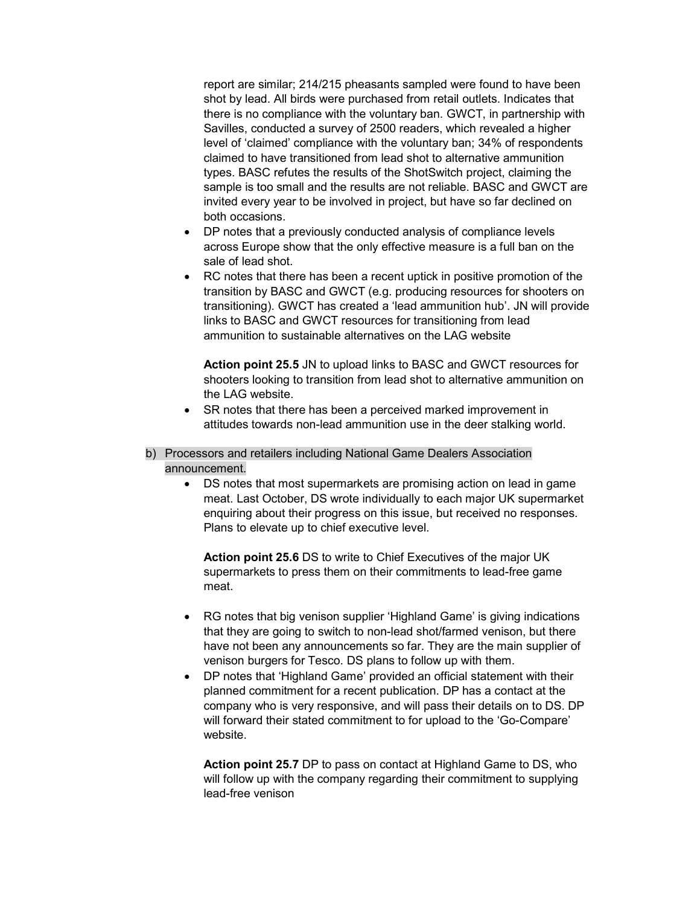report are similar; 214/215 pheasants sampled were found to have been shot by lead. All birds were purchased from retail outlets. Indicates that there is no compliance with the voluntary ban. GWCT, in partnership with Savilles, conducted a survey of 2500 readers, which revealed a higher level of 'claimed' compliance with the voluntary ban; 34% of respondents claimed to have transitioned from lead shot to alternative ammunition types. BASC refutes the results of the ShotSwitch project, claiming the sample is too small and the results are not reliable. BASC and GWCT are invited every year to be involved in project, but have so far declined on both occasions.

- DP notes that a previously conducted analysis of compliance levels across Europe show that the only effective measure is a full ban on the sale of lead shot.
- RC notes that there has been a recent uptick in positive promotion of the transition by BASC and GWCT (e.g. producing resources for shooters on transitioning). GWCT has created a 'lead ammunition hub'. JN will provide links to BASC and GWCT resources for transitioning from lead ammunition to sustainable alternatives on the LAG website

Action point 25.5 JN to upload links to BASC and GWCT resources for shooters looking to transition from lead shot to alternative ammunition on the LAG website.

• SR notes that there has been a perceived marked improvement in attitudes towards non-lead ammunition use in the deer stalking world.

#### b) Processors and retailers including National Game Dealers Association announcement.

 DS notes that most supermarkets are promising action on lead in game meat. Last October, DS wrote individually to each major UK supermarket enquiring about their progress on this issue, but received no responses. Plans to elevate up to chief executive level.

Action point 25.6 DS to write to Chief Executives of the major UK supermarkets to press them on their commitments to lead-free game meat.

- RG notes that big venison supplier 'Highland Game' is giving indications that they are going to switch to non-lead shot/farmed venison, but there have not been any announcements so far. They are the main supplier of venison burgers for Tesco. DS plans to follow up with them.
- DP notes that 'Highland Game' provided an official statement with their planned commitment for a recent publication. DP has a contact at the company who is very responsive, and will pass their details on to DS. DP will forward their stated commitment to for upload to the 'Go-Compare' website.

Action point 25.7 DP to pass on contact at Highland Game to DS, who will follow up with the company regarding their commitment to supplying lead-free venison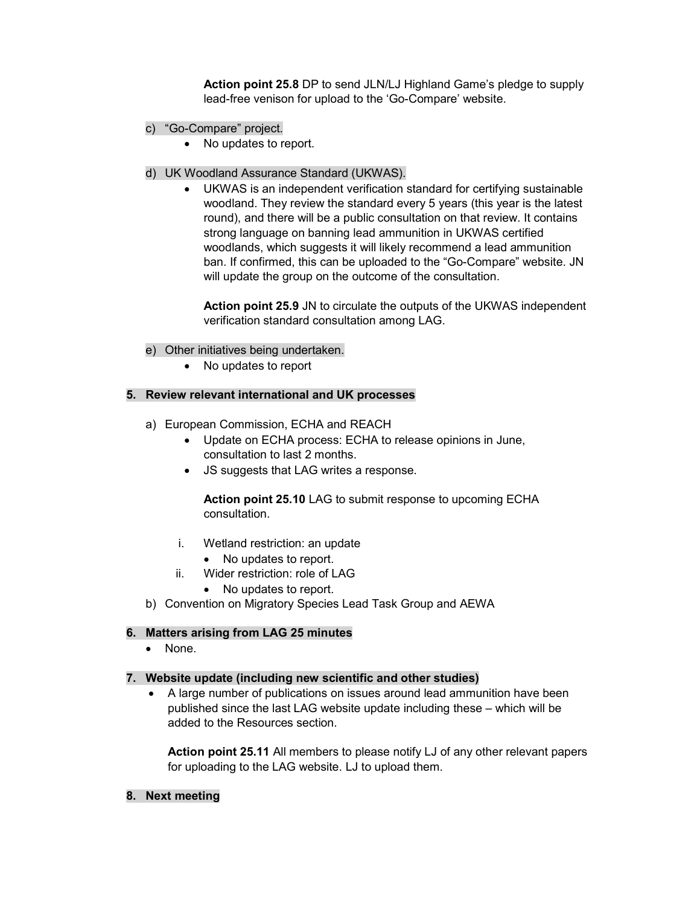Action point 25.8 DP to send JLN/LJ Highland Game's pledge to supply lead-free venison for upload to the 'Go-Compare' website.

- c) "Go-Compare" project.
	- No updates to report.
- d) UK Woodland Assurance Standard (UKWAS).
	- UKWAS is an independent verification standard for certifying sustainable woodland. They review the standard every 5 years (this year is the latest round), and there will be a public consultation on that review. It contains strong language on banning lead ammunition in UKWAS certified woodlands, which suggests it will likely recommend a lead ammunition ban. If confirmed, this can be uploaded to the "Go-Compare" website. JN will update the group on the outcome of the consultation.

Action point 25.9 JN to circulate the outputs of the UKWAS independent verification standard consultation among LAG.

- e) Other initiatives being undertaken.
	- No updates to report

#### 5. Review relevant international and UK processes

- a) European Commission, ECHA and REACH
	- Update on ECHA process: ECHA to release opinions in June, consultation to last 2 months.
	- JS suggests that LAG writes a response.

Action point 25.10 LAG to submit response to upcoming ECHA consultation.

- i. Wetland restriction: an update
	- No updates to report.
- ii. Wider restriction: role of LAG
	- No updates to report.
- b) Convention on Migratory Species Lead Task Group and AEWA

#### 6. Matters arising from LAG 25 minutes

• None.

#### 7. Website update (including new scientific and other studies)

 A large number of publications on issues around lead ammunition have been published since the last LAG website update including these – which will be added to the Resources section.

Action point 25.11 All members to please notify LJ of any other relevant papers for uploading to the LAG website. LJ to upload them.

8. Next meeting